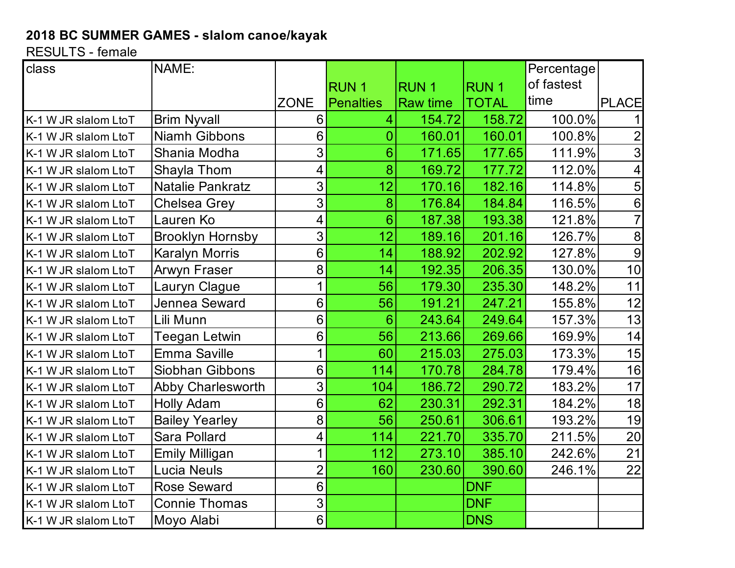## **2018 BC SUMMER GAMES - slalom canoe/kayak**

RESULTS - female

| class                | NAME:                    |                          |                 |                 |              | Percentage |                |
|----------------------|--------------------------|--------------------------|-----------------|-----------------|--------------|------------|----------------|
|                      |                          |                          | <b>RUN1</b>     | <b>RUN1</b>     | <b>RUN1</b>  | of fastest |                |
|                      |                          | <b>ZONE</b>              | Penalties       | <b>Raw time</b> | <b>TOTAL</b> | time       | <b>PLACE</b>   |
| K-1 W JR slalom LtoT | <b>Brim Nyvall</b>       | 6                        | $\overline{4}$  | 154.72          | 158.72       | 100.0%     |                |
| K-1 W JR slalom LtoT | <b>Niamh Gibbons</b>     | 6                        | 0               | 160.01          | 160.01       | 100.8%     |                |
| K-1 W JR slalom LtoT | Shania Modha             | 3                        | $\overline{6}$  | 171.65          | 177.65       | 111.9%     | 3              |
| K-1 W JR slalom LtoT | Shayla Thom              | $\overline{\mathcal{A}}$ | 8               | 169.72          | 177.72       | 112.0%     | 4              |
| K-1 W JR slalom LtoT | <b>Natalie Pankratz</b>  | 3                        | 12              | 170.16          | 182.16       | 114.8%     | 5              |
| K-1 W JR slalom LtoT | <b>Chelsea Grey</b>      | 3                        | 8               | 176.84          | 184.84       | 116.5%     | 6              |
| K-1 W JR slalom LtoT | Lauren Ko                | $\overline{\mathbf{4}}$  | $6\overline{6}$ | 187.38          | 193.38       | 121.8%     | $\overline{7}$ |
| K-1 W JR slalom LtoT | <b>Brooklyn Hornsby</b>  | 3                        | 12              | 189.16          | 201.16       | 126.7%     | 8              |
| K-1 W JR slalom LtoT | <b>Karalyn Morris</b>    | 6                        | 14              | 188.92          | 202.92       | 127.8%     | 9              |
| K-1 W JR slalom LtoT | Arwyn Fraser             | 8                        | 14              | 192.35          | 206.35       | 130.0%     | 10             |
| K-1 W JR slalom LtoT | Lauryn Clague            | 1                        | 56              | 179.30          | 235.30       | 148.2%     | 11             |
| K-1 W JR slalom LtoT | Jennea Seward            | 6                        | 56              | 191.21          | 247.21       | 155.8%     | 12             |
| K-1 W JR slalom LtoT | Lili Munn                | 6                        | $6\phantom{1}$  | 243.64          | 249.64       | 157.3%     | 13             |
| K-1 W JR slalom LtoT | Teegan Letwin            | 6                        | 56              | 213.66          | 269.66       | 169.9%     | 14             |
| K-1 W JR slalom LtoT | <b>Emma Saville</b>      | 1                        | 60              | 215.03          | 275.03       | 173.3%     | 15             |
| K-1 W JR slalom LtoT | Siobhan Gibbons          | 6                        | 114             | 170.78          | 284.78       | 179.4%     | 16             |
| K-1 W JR slalom LtoT | <b>Abby Charlesworth</b> | 3                        | 104             | 186.72          | 290.72       | 183.2%     | 17             |
| K-1 W JR slalom LtoT | <b>Holly Adam</b>        | 6                        | 62              | 230.31          | 292.31       | 184.2%     | 18             |
| K-1 W JR slalom LtoT | <b>Bailey Yearley</b>    | 8                        | 56              | 250.61          | 306.61       | 193.2%     | 19             |
| K-1 W JR slalom LtoT | <b>Sara Pollard</b>      | $\overline{\mathcal{A}}$ | 114             | 221.70          | 335.70       | 211.5%     | 20             |
| K-1 W JR slalom LtoT | <b>Emily Milligan</b>    | 1                        | 112             | 273.10          | 385.10       | 242.6%     | 21             |
| K-1 W JR slalom LtoT | <b>Lucia Neuls</b>       | $\overline{2}$           | 160             | 230.60          | 390.60       | 246.1%     | 22             |
| K-1 W JR slalom LtoT | <b>Rose Seward</b>       | 6                        |                 |                 | <b>DNF</b>   |            |                |
| K-1 W JR slalom LtoT | <b>Connie Thomas</b>     | $\overline{3}$           |                 |                 | <b>DNF</b>   |            |                |
| K-1 W JR slalom LtoT | Moyo Alabi               | $6 \overline{6}$         |                 |                 | <b>DNS</b>   |            |                |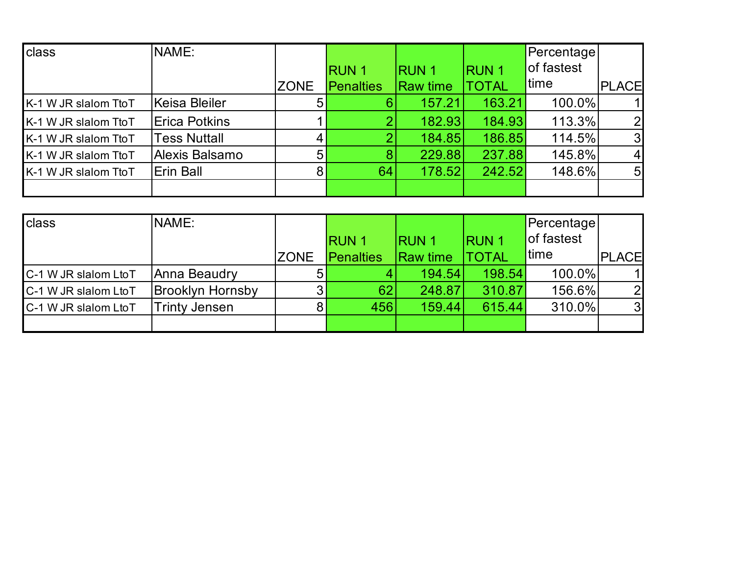| class                | NAME:                |                |                  |                 |              | Percentage |                |
|----------------------|----------------------|----------------|------------------|-----------------|--------------|------------|----------------|
|                      |                      |                | <b>RUN1</b>      | <b>RUN1</b>     | <b>RUN1</b>  | of fastest |                |
|                      |                      | <b>ZONE</b>    | <b>Penalties</b> | <b>Raw time</b> | <b>TOTAL</b> | time       | PLACE          |
| K-1 W JR slalom TtoT | Keisa Bleiler        | 5 <sup>1</sup> | 6                | 157.21          | 163.21       | 100.0%     |                |
| K-1 W JR slalom TtoT | <b>Erica Potkins</b> |                |                  | 182.93          | 184.93       | 113.3%     | $\overline{2}$ |
| K-1 W JR slalom TtoT | <b>Tess Nuttall</b>  |                |                  | 184.85          | 186.85       | 114.5%     | 3              |
| K-1 W JR slalom TtoT | Alexis Balsamo       | 5              | 8                | 229.88          | 237.88       | 145.8%     | $\vert$        |
| K-1 W JR slalom TtoT | Erin Ball            | 8 <sub>l</sub> | 64               | 178.52          | 242.52       | 148.6%     | 5 <sub>l</sub> |
|                      |                      |                |                  |                 |              |            |                |

| class                | NAME:                   |                |                  |                 |               | Percentage |                |
|----------------------|-------------------------|----------------|------------------|-----------------|---------------|------------|----------------|
|                      |                         |                | <b>RUN1</b>      | IRUN 1          | <b>IRUN 1</b> | of fastest |                |
|                      |                         | <b>ZONE</b>    | <b>Penalties</b> | <b>Raw time</b> | <b>TOTAL</b>  | time       | <b>PLACE</b>   |
| C-1 W JR slalom LtoT | Anna Beaudry            | 5 <sub>l</sub> |                  | 194.54          | 198.54        | 100.0%     |                |
| C-1 W JR slalom LtoT | <b>Brooklyn Hornsby</b> |                | 62               | 248.87          | 310.87        | 156.6%     | $\overline{2}$ |
| C-1 W JR slalom LtoT | <b>Trinty Jensen</b>    | 8 <sub>l</sub> | 456              | 159.44          | 615.44        | 310.0%     | 3              |
|                      |                         |                |                  |                 |               |            |                |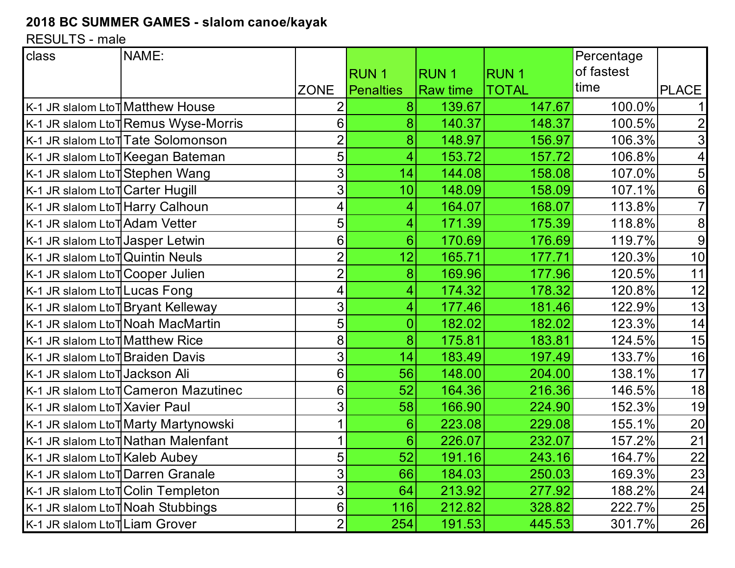## **2018 BC SUMMER GAMES - slalom canoe/kayak**

RESULTS - male

| class                                         | NAME:                                 |                |                  |                 |              | Percentage |                 |
|-----------------------------------------------|---------------------------------------|----------------|------------------|-----------------|--------------|------------|-----------------|
|                                               |                                       |                | <b>RUN1</b>      | <b>RUN1</b>     | <b>RUN1</b>  | of fastest |                 |
|                                               |                                       | <b>ZONE</b>    | <b>Penalties</b> | <b>Raw time</b> | <b>TOTAL</b> | time       | <b>PLACE</b>    |
| K-1 JR slalom LtoT Matthew House              |                                       |                | 8                | 139.67          | 147.67       | 100.0%     | 11              |
|                                               | K-1 JR slalom Lto TRemus Wyse-Morris  | 6              | 8                | 140.37          | 148.37       | 100.5%     | $\mathbf{2}$    |
|                                               | K-1 JR slalom Lto TTate Solomonson    | $\overline{2}$ | 8                | 148.97          | 156.97       | 106.3%     | 3               |
|                                               | K-1 JR slalom LtoT Keegan Bateman     | 5              | 4                | 153.72          | 157.72       | 106.8%     | $\vert 4 \vert$ |
| K-1 JR slalom Lto TStephen Wang               |                                       | 3              | 14               | 144.08          | 158.08       | 107.0%     | 5 <sub>l</sub>  |
| K-1 JR slalom LtoT Carter Hugill              |                                       | 3              | 10               | 148.09          | 158.09       | 107.1%     | 6               |
| K-1 JR slalom Lto THarry Calhoun              |                                       | 4              | 4                | 164.07          | 168.07       | 113.8%     | $\overline{7}$  |
| K-1 JR slalom LtoT Adam Vetter                |                                       | 5              | 4                | 171.39          | 175.39       | 118.8%     | 8               |
| K-1 JR slalom LtoT Jasper Letwin              |                                       | 6              | $6\phantom{1}$   | 170.69          | 176.69       | 119.7%     | 9               |
| K-1 JR slalom LtoT Quintin Neuls              |                                       | 2              | 12               | 165.71          | 177.71       | 120.3%     | 10              |
| K-1 JR slalom LtoT Cooper Julien              |                                       | $\overline{2}$ | 8                | 169.96          | 177.96       | 120.5%     | 11              |
| K-1 JR slalom Lto TLucas Fong                 |                                       | 4              | 4                | 174.32          | 178.32       | 120.8%     | 12              |
|                                               | K-1 JR slalom LtoT Bryant Kelleway    | 3              | 4                | 177.46          | 181.46       | 122.9%     | 13              |
|                                               | K-1 JR slalom LtoT Noah MacMartin     | 5              | 0                | 182.02          | 182.02       | 123.3%     | 14              |
| K-1 JR slalom Lto TMatthew Rice               |                                       | 8              | 8                | 175.81          | 183.81       | 124.5%     | 15              |
| K-1 JR slalom LtoT Braiden Davis              |                                       | 3              | 14               | 183.49          | 197.49       | 133.7%     | 16              |
| K-1 JR slalom LtoTJackson Ali                 |                                       | 6              | 56               | 148.00          | 204.00       | 138.1%     | 17              |
|                                               | K-1 JR slalom Lto T Cameron Mazutinec | 6              | 52               | 164.36          | 216.36       | 146.5%     | 18              |
| K-1 JR slalom Lto TXavier Paul                |                                       | 3              | 58               | 166.90          | 224.90       | 152.3%     | 19              |
|                                               | K-1 JR slalom LtoT Marty Martynowski  |                | $6\phantom{1}$   | 223.08          | 229.08       | 155.1%     | 20              |
|                                               | K-1 JR slalom LtoT Nathan Malenfant   |                | $6\phantom{1}$   | 226.07          | 232.07       | 157.2%     | 21              |
| K-1 JR slalom Lto TKaleb Aubey                |                                       | 5 <sup>1</sup> | 52               | 191.16          | 243.16       | 164.7%     | 22              |
| K-1 JR slalom Lto <sup>†</sup> Darren Granale |                                       | 3              | 66               | 184.03          | 250.03       | 169.3%     | 23              |
|                                               | K-1 JR slalom Lto TColin Templeton    | 3              | 64               | 213.92          | 277.92       | 188.2%     | 24              |
|                                               | K-1 JR slalom LtoT Noah Stubbings     | 6 <sup>1</sup> | 116              | 212.82          | 328.82       | 222.7%     | 25              |
| K-1 JR slalom Lto TLiam Grover                |                                       | $\overline{2}$ | 254              | 191.53          | 445.53       | 301.7%     | <b>26</b>       |